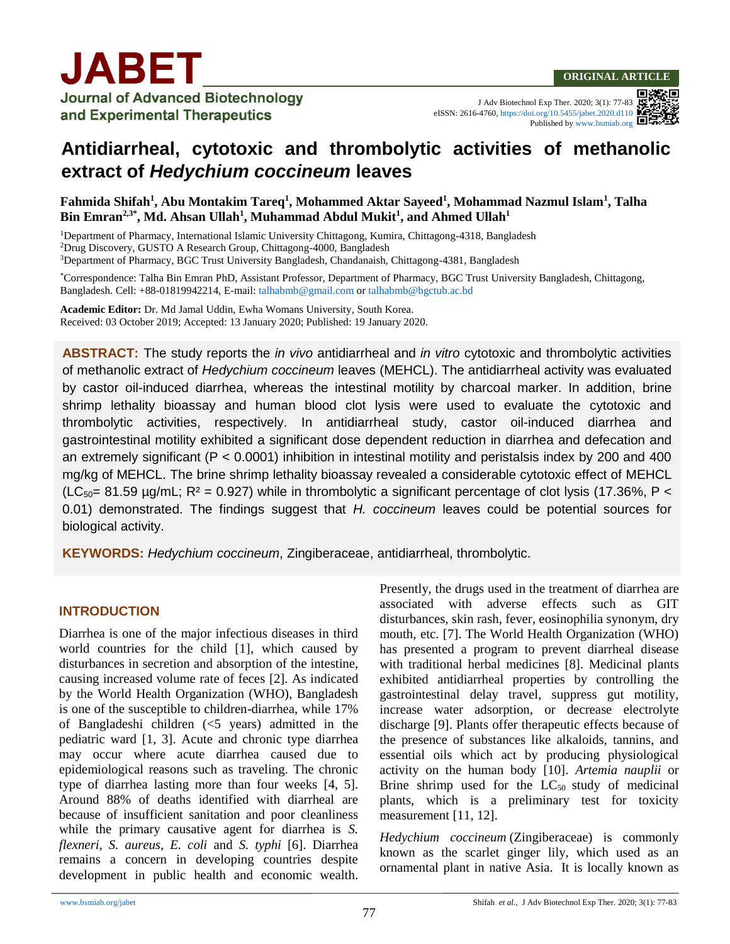

J Adv Biotechnol Exp Ther. 2020; 3(1): 77-83 eISSN: 2616-4760,<https://doi.org/10.5455/jabet.2020.d110> Published b[y www.bsmiab.org](http://www.bsmiab.org/)

# **Antidiarrheal, cytotoxic and thrombolytic activities of methanolic extract of** *Hedychium coccineum* **leaves**

**Fahmida Shifah<sup>1</sup> , Abu Montakim Tareq<sup>1</sup> , Mohammed Aktar Sayeed<sup>1</sup> , Mohammad Nazmul Islam<sup>1</sup> , Talha Bin Emran2,3\*, Md. Ahsan Ullah<sup>1</sup> , Muhammad Abdul Mukit<sup>1</sup> , and Ahmed Ullah<sup>1</sup>**

<sup>1</sup>Department of Pharmacy, International Islamic University Chittagong, Kumira, Chittagong-4318, Bangladesh <sup>2</sup>Drug Discovery, GUSTO A Research Group, Chittagong-4000, Bangladesh <sup>3</sup>Department of Pharmacy, BGC Trust University Bangladesh, Chandanaish, Chittagong-4381, Bangladesh

\*Correspondence: Talha Bin Emran PhD, Assistant Professor, Department of Pharmacy, BGC Trust University Bangladesh, Chittagong, Bangladesh. Cell: +88-01819942214, E-mail: [talhabmb@gmail.com](mailto:talhabmb@gmail.com) or [talhabmb@bgctub.ac.bd](mailto:talhabmb@bgctub.ac.bd)

**Academic Editor:** Dr. Md Jamal Uddin, Ewha Womans University, South Korea. Received: 03 October 2019; Accepted: 13 January 2020; Published: 19 January 2020.

**ABSTRACT:** The study reports the *in vivo* antidiarrheal and *in vitro* cytotoxic and thrombolytic activities of methanolic extract of *Hedychium coccineum* leaves (MEHCL). The antidiarrheal activity was evaluated by castor oil-induced diarrhea, whereas the intestinal motility by charcoal marker. In addition, brine shrimp lethality bioassay and human blood clot lysis were used to evaluate the cytotoxic and thrombolytic activities, respectively. In antidiarrheal study, castor oil-induced diarrhea and gastrointestinal motility exhibited a significant dose dependent reduction in diarrhea and defecation and an extremely significant (P < 0.0001) inhibition in intestinal motility and peristalsis index by 200 and 400 mg/kg of MEHCL. The brine shrimp lethality bioassay revealed a considerable cytotoxic effect of MEHCL (LC<sub>50</sub>= 81.59 µg/mL; R<sup>2</sup> = 0.927) while in thrombolytic a significant percentage of clot lysis (17.36%, P < 0.01) demonstrated. The findings suggest that *H. coccineum* leaves could be potential sources for biological activity.

**KEYWORDS:** *Hedychium coccineum*, Zingiberaceae, antidiarrheal, thrombolytic.

## **INTRODUCTION**

Diarrhea is one of the major infectious diseases in third world countries for the child [1], which caused by disturbances in secretion and absorption of the intestine, causing increased volume rate of feces [2]. As indicated by the World Health Organization (WHO), Bangladesh is one of the susceptible to children-diarrhea, while 17% of Bangladeshi children (<5 years) admitted in the pediatric ward [1, 3]. Acute and chronic type diarrhea may occur where acute diarrhea caused due to epidemiological reasons such as traveling. The chronic type of diarrhea lasting more than four weeks [4, 5]. Around 88% of deaths identified with diarrheal are because of insufficient sanitation and poor cleanliness while the primary causative agent for diarrhea is *S. flexneri, S. aureus, E. coli* and *S. typhi* [6]. Diarrhea remains a concern in developing countries despite development in public health and economic wealth. Presently, the drugs used in the treatment of diarrhea are associated with adverse effects such as GIT disturbances, skin rash, fever, eosinophilia synonym, dry mouth, etc. [7]. The World Health Organization (WHO) has presented a program to prevent diarrheal disease with traditional herbal medicines [8]. Medicinal plants exhibited antidiarrheal properties by controlling the gastrointestinal delay travel, suppress gut motility, increase water adsorption, or decrease electrolyte discharge [9]. Plants offer therapeutic effects because of the presence of substances like alkaloids, tannins, and essential oils which act by producing physiological activity on the human body [10]. *Artemia nauplii* or Brine shrimp used for the  $LC_{50}$  study of medicinal plants, which is a preliminary test for toxicity measurement [11, 12].

*Hedychium coccineum* (Zingiberaceae) is commonly known as the scarlet ginger lily, which used as an ornamental plant in native Asia. It is locally known as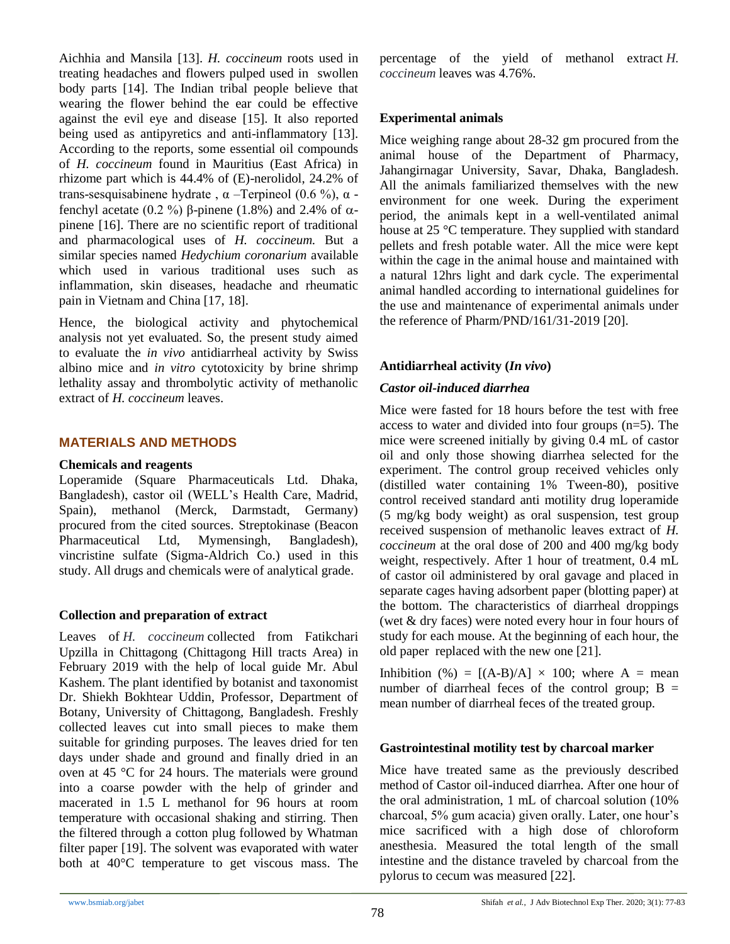Aichhia and Mansila [13]. *H. coccineum* roots used in treating headaches and flowers pulped used in swollen body parts [14]. The Indian tribal people believe that wearing the flower behind the ear could be effective against the evil eye and disease [15]. It also reported being used as antipyretics and anti-inflammatory [13]. According to the reports, some essential oil compounds of *H. coccineum* found in Mauritius (East Africa) in rhizome part which is 44.4% of (E)-nerolidol, 24.2% of trans-sesquisabinene hydrate , α –Terpineol (0.6 %), α fenchyl acetate (0.2 %) β-pinene (1.8%) and 2.4% of  $\alpha$ pinene [16]. There are no scientific report of traditional and pharmacological uses of *H. coccineum.* But a similar species named *Hedychium coronarium* available which used in various traditional uses such as inflammation, skin diseases, headache and rheumatic pain in Vietnam and China [17, 18].

Hence, the biological activity and phytochemical analysis not yet evaluated. So, the present study aimed to evaluate the *in vivo* antidiarrheal activity by Swiss albino mice and *in vitro* cytotoxicity by brine shrimp lethality assay and thrombolytic activity of methanolic extract of *H. coccineum* leaves.

# **MATERIALS AND METHODS**

## **Chemicals and reagents**

Loperamide (Square Pharmaceuticals Ltd. Dhaka, Bangladesh), castor oil (WELL's Health Care, Madrid, Spain), methanol (Merck, Darmstadt, Germany) procured from the cited sources. Streptokinase (Beacon Pharmaceutical Ltd, Mymensingh, Bangladesh), vincristine sulfate (Sigma-Aldrich Co.) used in this study. All drugs and chemicals were of analytical grade.

# **Collection and preparation of extract**

Leaves of *H. coccineum* collected from Fatikchari Upzilla in Chittagong (Chittagong Hill tracts Area) in February 2019 with the help of local guide Mr. Abul Kashem. The plant identified by botanist and taxonomist Dr. Shiekh Bokhtear Uddin, Professor, Department of Botany, University of Chittagong, Bangladesh. Freshly collected leaves cut into small pieces to make them suitable for grinding purposes. The leaves dried for ten days under shade and ground and finally dried in an oven at 45 °C for 24 hours. The materials were ground into a coarse powder with the help of grinder and macerated in 1.5 L methanol for 96 hours at room temperature with occasional shaking and stirring. Then the filtered through a cotton plug followed by Whatman filter paper [19]. The solvent was evaporated with water both at 40°C temperature to get viscous mass. The percentage of the yield of methanol extract *H. coccineum* leaves was 4.76%.

# **Experimental animals**

Mice weighing range about 28-32 gm procured from the animal house of the Department of Pharmacy, Jahangirnagar University, Savar, Dhaka, Bangladesh. All the animals familiarized themselves with the new environment for one week. During the experiment period, the animals kept in a well-ventilated animal house at 25 °C temperature. They supplied with standard pellets and fresh potable water. All the mice were kept within the cage in the animal house and maintained with a natural 12hrs light and dark cycle. The experimental animal handled according to international guidelines for the use and maintenance of experimental animals under the reference of Pharm/PND/161/31-2019 [20].

# **Antidiarrheal activity (***In vivo***)**

# *Castor oil-induced diarrhea*

Mice were fasted for 18 hours before the test with free access to water and divided into four groups (n=5). The mice were screened initially by giving 0.4 mL of castor oil and only those showing diarrhea selected for the experiment. The control group received vehicles only (distilled water containing 1% Tween-80), positive control received standard anti motility drug loperamide (5 mg/kg body weight) as oral suspension, test group received suspension of methanolic leaves extract of *H. coccineum* at the oral dose of 200 and 400 mg/kg body weight, respectively. After 1 hour of treatment, 0.4 mL of castor oil administered by oral gavage and placed in separate cages having adsorbent paper (blotting paper) at the bottom. The characteristics of diarrheal droppings (wet & dry faces) were noted every hour in four hours of study for each mouse. At the beginning of each hour, the old paper replaced with the new one [21].

Inhibition (%) =  $[(A-B)/A] \times 100$ ; where A = mean number of diarrheal feces of the control group;  $B =$ mean number of diarrheal feces of the treated group.

# **Gastrointestinal motility test by charcoal marker**

Mice have treated same as the previously described method of Castor oil-induced diarrhea. After one hour of the oral administration, 1 mL of charcoal solution (10% charcoal, 5% gum acacia) given orally. Later, one hour's mice sacrificed with a high dose of chloroform anesthesia. Measured the total length of the small intestine and the distance traveled by charcoal from the pylorus to cecum was measured [22].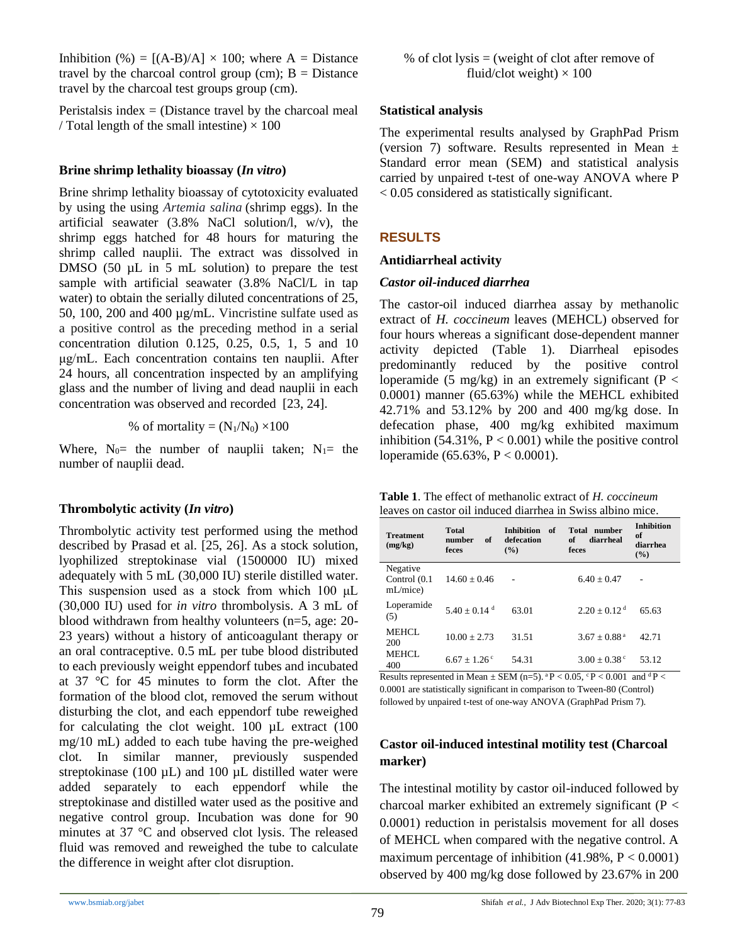Inhibition (%) =  $[(A-B)/A] \times 100$ ; where A = Distance travel by the charcoal control group (cm);  $B = Distance$ travel by the charcoal test groups group (cm).

Peristalsis index  $=$  (Distance travel by the charcoal meal / Total length of the small intestine)  $\times$  100

## **Brine shrimp lethality bioassay (***In vitro***)**

Brine shrimp lethality bioassay of cytotoxicity evaluated by using the using *Artemia salina* (shrimp eggs). In the artificial seawater (3.8% NaCl solution/l, w/v), the shrimp eggs hatched for 48 hours for maturing the shrimp called nauplii. The extract was dissolved in DMSO  $(50 \mu L \text{ in } 5 \text{ mL}$  solution) to prepare the test sample with artificial seawater (3.8% NaCl/L in tap water) to obtain the serially diluted concentrations of 25, 50, 100, 200 and 400 µg/mL. Vincristine sulfate used as a positive control as the preceding method in a serial concentration dilution 0.125, 0.25, 0.5, 1, 5 and 10 μg/mL. Each concentration contains ten nauplii. After 24 hours, all concentration inspected by an amplifying glass and the number of living and dead nauplii in each concentration was observed and recorded [23, 24].

% of mortality = 
$$
(N_1/N_0) \times 100
$$

Where,  $N_0$  the number of nauplii taken;  $N_1$  the number of nauplii dead.

## **Thrombolytic activity (***In vitro***)**

Thrombolytic activity test performed using the method described by Prasad et al. [25, 26]. As a stock solution, lyophilized streptokinase vial (1500000 IU) mixed adequately with 5 mL (30,000 IU) sterile distilled water. This suspension used as a stock from which 100 μL (30,000 IU) used for *in vitro* thrombolysis. A 3 mL of blood withdrawn from healthy volunteers (n=5, age: 20- 23 years) without a history of anticoagulant therapy or an oral contraceptive. 0.5 mL per tube blood distributed to each previously weight eppendorf tubes and incubated at 37 °C for 45 minutes to form the clot. After the formation of the blood clot, removed the serum without disturbing the clot, and each eppendorf tube reweighed for calculating the clot weight.  $100 \mu L$  extract  $(100$ mg/10 mL) added to each tube having the pre-weighed clot. In similar manner, previously suspended streptokinase (100  $\mu$ L) and 100  $\mu$ L distilled water were added separately to each eppendorf while the streptokinase and distilled water used as the positive and negative control group. Incubation was done for 90 minutes at 37 °C and observed clot lysis. The released fluid was removed and reweighed the tube to calculate the difference in weight after clot disruption.

% of clot lysis = (weight of clot after remove of fluid/clot weight) 
$$
\times
$$
 100

#### **Statistical analysis**

The experimental results analysed by GraphPad Prism (version 7) software. Results represented in Mean  $\pm$ Standard error mean (SEM) and statistical analysis carried by unpaired t-test of one-way ANOVA where P < 0.05 considered as statistically significant.

# **RESULTS**

#### **Antidiarrheal activity**

#### *Castor oil-induced diarrhea*

The castor-oil induced diarrhea assay by methanolic extract of *H. coccineum* leaves (MEHCL) observed for four hours whereas a significant dose-dependent manner activity depicted (Table 1). Diarrheal episodes predominantly reduced by the positive control loperamide (5 mg/kg) in an extremely significant ( $P <$ 0.0001) manner (65.63%) while the MEHCL exhibited 42.71% and 53.12% by 200 and 400 mg/kg dose. In defecation phase, 400 mg/kg exhibited maximum inhibition  $(54.31\%, P < 0.001)$  while the positive control loperamide (65.63%, P < 0.0001).

| <b>Table 1.</b> The effect of methanolic extract of H. coccineum |  |
|------------------------------------------------------------------|--|
| leaves on castor oil induced diarrhea in Swiss albino mice.      |  |

| <b>Treatment</b><br>(mg/kg)            | <b>Total</b><br>number<br>of<br>feces | <b>Inhibition</b><br>of<br>defecation<br>$($ %) | Total number<br>diarrheal<br>of<br>feces | <b>Inhibition</b><br>of<br>diarrhea<br>$($ %) |
|----------------------------------------|---------------------------------------|-------------------------------------------------|------------------------------------------|-----------------------------------------------|
| Negative<br>Control $(0.1)$<br>mL/mice | $14.60 \pm 0.46$                      |                                                 | $6.40 + 0.47$                            |                                               |
| Loperamide<br>(5)                      | $5.40 + 0.14$ <sup>d</sup>            | 63.01                                           | $2.20 + 0.12$ <sup>d</sup>               | 65.63                                         |
| <b>MEHCL</b><br>200                    | $10.00 + 2.73$                        | 31.51                                           | $3.67 + 0.88$ <sup>a</sup>               | 42.71                                         |
| <b>MEHCL</b><br>400                    | $6.67 + 1.26$ <sup>c</sup>            | 54.31                                           | $3.00 + 0.38$ <sup>c</sup>               | 53.12                                         |

Results represented in Mean  $\pm$  SEM (n=5). <sup>a</sup>P < 0.05, <sup>c</sup>P < 0.001 and <sup>d</sup>P < 0.0001 are statistically significant in comparison to Tween-80 (Control) followed by unpaired t-test of one-way ANOVA (GraphPad Prism 7).

# **Castor oil-induced intestinal motility test (Charcoal marker)**

The intestinal motility by castor oil-induced followed by charcoal marker exhibited an extremely significant (P < 0.0001) reduction in peristalsis movement for all doses of MEHCL when compared with the negative control. A maximum percentage of inhibition  $(41.98\%, P < 0.0001)$ observed by 400 mg/kg dose followed by 23.67% in 200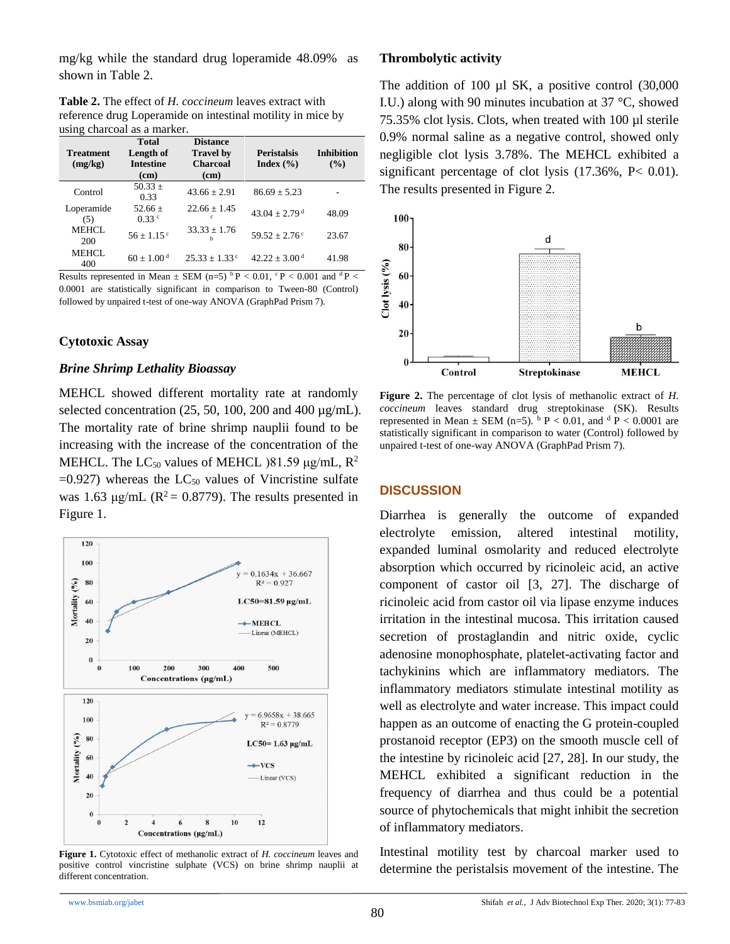mg/kg while the standard drug loperamide 48.09% as shown in Table 2.

**Table 2.** The effect of *H. coccineum* leaves extract with reference drug Loperamide on intestinal motility in mice by using charcoal as a marker.

| <b>Treatment</b><br>(mg/kg) | <b>Total</b><br>Length of<br><b>Intestine</b><br>(cm) | <b>Distance</b><br><b>Travel by</b><br><b>Charcoal</b><br>(cm) | <b>Peristalsis</b><br>Index $(\% )$ | <b>Inhibition</b><br>(%) |
|-----------------------------|-------------------------------------------------------|----------------------------------------------------------------|-------------------------------------|--------------------------|
| Control                     | $50.33 +$<br>0.33                                     | $43.66 + 2.91$                                                 | $86.69 + 5.23$                      |                          |
| Loperamide<br>(5)           | $52.66 +$<br>0.33 <sup>c</sup>                        | $22.66 + 1.45$<br>c                                            | $43.04 + 2.79$ <sup>d</sup>         | 48.09                    |
| MEHCL.<br>200               | $56 + 1.15$ <sup>c</sup>                              | $33.33 + 1.76$<br>h                                            | $59.52 + 2.76$ <sup>c</sup>         | 23.67                    |
| MEHCL.<br>400               | $60 + 1.00^{\mathrm{d}}$                              | $25.33 + 1.33$ <sup>c</sup>                                    | $42.22 \pm 3.00$ <sup>d</sup>       | 41.98                    |

Results represented in Mean  $\pm$  SEM (n=5)  $\rm{^bP}$  < 0.01,  $\rm{^cP}$  < 0.001 and  $\rm{^dP}$  < 0.0001 are statistically significant in comparison to Tween-80 (Control) followed by unpaired t-test of one-way ANOVA (GraphPad Prism 7).

#### **Cytotoxic Assay**

#### *Brine Shrimp Lethality Bioassay*

MEHCL showed different mortality rate at randomly selected concentration  $(25, 50, 100, 200, 400 \mu g/mL)$ . The mortality rate of brine shrimp nauplii found to be increasing with the increase of the concentration of the MEHCL. The  $LC_{50}$  values of MEHCL (81.59 μg/mL,  $R^2$ )  $=0.927$ ) whereas the LC<sub>50</sub> values of Vincristine sulfate was 1.63 μg/mL ( $R^2$  = 0.8779). The results presented in Figure 1.



**Figure 1.** Cytotoxic effect of methanolic extract of *H. coccineum* leaves and positive control vincristine sulphate (VCS) on brine shrimp nauplii at different concentration.

## **Thrombolytic activity**

The addition of 100  $\mu$ l SK, a positive control (30,000) I.U.) along with 90 minutes incubation at 37 °C, showed 75.35% clot lysis. Clots, when treated with 100 µl sterile 0.9% normal saline as a negative control, showed only negligible clot lysis 3.78%. The MEHCL exhibited a significant percentage of clot lysis (17.36%, P< 0.01). The results presented in Figure 2.



**Figure 2.** The percentage of clot lysis of methanolic extract of *H. coccineum* leaves standard drug streptokinase (SK). Results represented in Mean  $\pm$  SEM (n=5).  $\frac{b}{p}$  P < 0.01, and  $\frac{d}{p}$  P < 0.0001 are statistically significant in comparison to water (Control) followed by unpaired t-test of one-way ANOVA (GraphPad Prism 7).

#### **DISCUSSION**

Diarrhea is generally the outcome of expanded electrolyte emission, altered intestinal motility, expanded luminal osmolarity and reduced electrolyte absorption which occurred by ricinoleic acid, an active component of castor oil [3, 27]. The discharge of ricinoleic acid from castor oil via lipase enzyme induces irritation in the intestinal mucosa. This irritation caused secretion of prostaglandin and nitric oxide, cyclic adenosine monophosphate, platelet-activating factor and tachykinins which are inflammatory mediators. The inflammatory mediators stimulate intestinal motility as well as electrolyte and water increase. This impact could happen as an outcome of enacting the G protein-coupled prostanoid receptor (EP3) on the smooth muscle cell of the intestine by ricinoleic acid [27, 28]. In our study, the MEHCL exhibited a significant reduction in the frequency of diarrhea and thus could be a potential source of phytochemicals that might inhibit the secretion of inflammatory mediators.

Intestinal motility test by charcoal marker used to determine the peristalsis movement of the intestine. The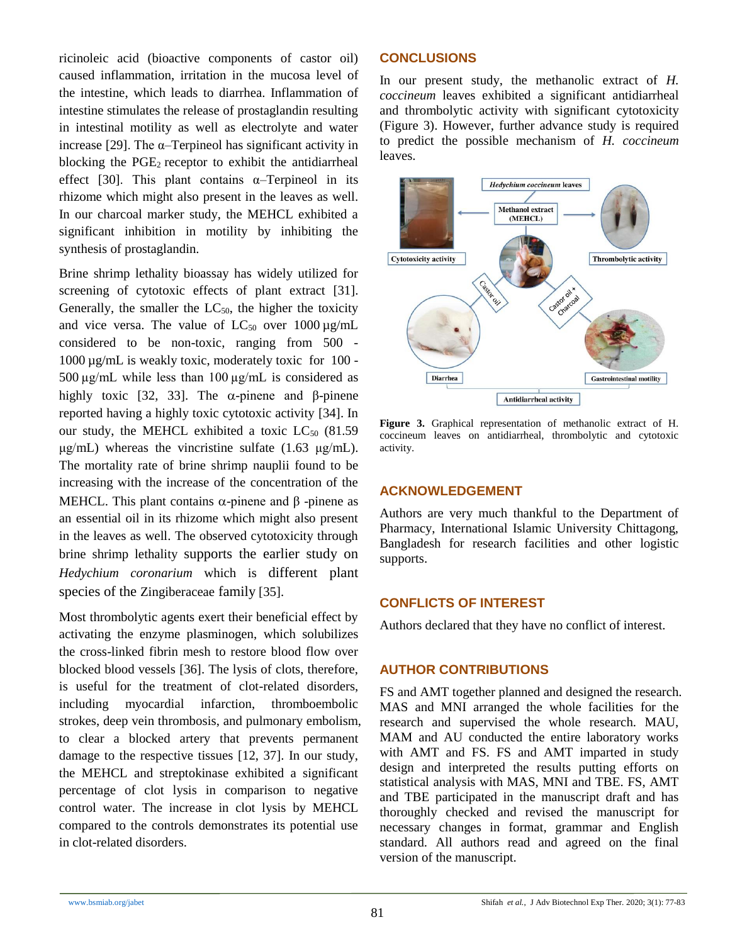ricinoleic acid (bioactive components of castor oil) caused inflammation, irritation in the mucosa level of the intestine, which leads to diarrhea. Inflammation of intestine stimulates the release of prostaglandin resulting in intestinal motility as well as electrolyte and water increase [29]. The  $\alpha$ -Terpineol has significant activity in blocking the PGE2 receptor to exhibit the antidiarrheal effect [30]. This plant contains  $\alpha$ -Terpineol in its rhizome which might also present in the leaves as well. In our charcoal marker study, the MEHCL exhibited a significant inhibition in motility by inhibiting the synthesis of prostaglandin.

Brine shrimp lethality bioassay has widely utilized for screening of cytotoxic effects of plant extract [31]. Generally, the smaller the  $LC_{50}$ , the higher the toxicity and vice versa. The value of  $LC_{50}$  over 1000  $\mu$ g/mL considered to be non-toxic, ranging from 500 - 1000 µg/mL is weakly toxic, moderately toxic for 100 - 500  $\mu$ g/mL while less than 100  $\mu$ g/mL is considered as highly toxic [32, 33]. The  $α$ -pinene and β-pinene reported having a highly toxic cytotoxic activity [34]. In our study, the MEHCL exhibited a toxic  $LC_{50}$  (81.59) μg/mL) whereas the vincristine sulfate (1.63 μg/mL). The mortality rate of brine shrimp nauplii found to be increasing with the increase of the concentration of the MEHCL. This plant contains  $\alpha$ -pinene and β -pinene as an essential oil in its rhizome which might also present in the leaves as well. The observed cytotoxicity through brine shrimp lethality supports the earlier study on *Hedychium coronarium* which is different plant species of the Zingiberaceae family [35].

Most thrombolytic agents exert their beneficial effect by activating the enzyme plasminogen, which solubilizes the cross-linked fibrin mesh to restore blood flow over blocked blood vessels [36]. The lysis of clots, therefore, is useful for the treatment of clot-related disorders, including myocardial infarction, thromboembolic strokes, deep vein thrombosis, and pulmonary embolism, to clear a blocked artery that prevents permanent damage to the respective tissues [12, 37]. In our study, the MEHCL and streptokinase exhibited a significant percentage of clot lysis in comparison to negative control water. The increase in clot lysis by MEHCL compared to the controls demonstrates its potential use in clot-related disorders.

## **CONCLUSIONS**

In our present study, the methanolic extract of *H. coccineum* leaves exhibited a significant antidiarrheal and thrombolytic activity with significant cytotoxicity (Figure 3). However, further advance study is required to predict the possible mechanism of *H. coccineum* leaves.



**Figure 3.** Graphical representation of methanolic extract of H. coccineum leaves on antidiarrheal, thrombolytic and cytotoxic activity.

## **ACKNOWLEDGEMENT**

Authors are very much thankful to the Department of Pharmacy, International Islamic University Chittagong, Bangladesh for research facilities and other logistic supports.

## **CONFLICTS OF INTEREST**

Authors declared that they have no conflict of interest.

## **AUTHOR CONTRIBUTIONS**

FS and AMT together planned and designed the research. MAS and MNI arranged the whole facilities for the research and supervised the whole research. MAU, MAM and AU conducted the entire laboratory works with AMT and FS. FS and AMT imparted in study design and interpreted the results putting efforts on statistical analysis with MAS, MNI and TBE. FS, AMT and TBE participated in the manuscript draft and has thoroughly checked and revised the manuscript for necessary changes in format, grammar and English standard. All authors read and agreed on the final version of the manuscript.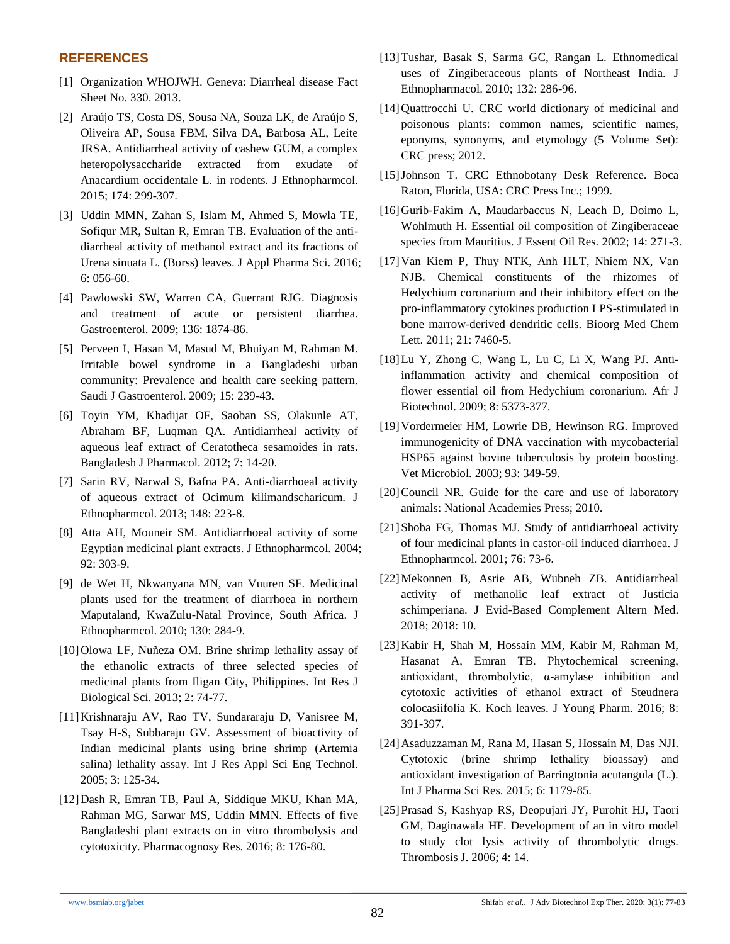#### **REFERENCES**

- [1] Organization WHOJWH. Geneva: Diarrheal disease Fact Sheet No. 330. 2013.
- [2] Araújo TS, Costa DS, Sousa NA, Souza LK, de Araújo S, Oliveira AP, Sousa FBM, Silva DA, Barbosa AL, Leite JRSA. Antidiarrheal activity of cashew GUM, a complex heteropolysaccharide extracted from exudate of Anacardium occidentale L. in rodents. J Ethnopharmcol. 2015; 174: 299-307.
- [3] Uddin MMN, Zahan S, Islam M, Ahmed S, Mowla TE, Sofiqur MR, Sultan R, Emran TB. Evaluation of the antidiarrheal activity of methanol extract and its fractions of Urena sinuata L. (Borss) leaves. J Appl Pharma Sci. 2016; 6: 056-60.
- [4] Pawlowski SW, Warren CA, Guerrant RJG. Diagnosis and treatment of acute or persistent diarrhea. Gastroenterol. 2009; 136: 1874-86.
- [5] Perveen I, Hasan M, Masud M, Bhuiyan M, Rahman M. Irritable bowel syndrome in a Bangladeshi urban community: Prevalence and health care seeking pattern. Saudi J Gastroenterol. 2009; 15: 239-43.
- [6] Toyin YM, Khadijat OF, Saoban SS, Olakunle AT, Abraham BF, Luqman QA. Antidiarrheal activity of aqueous leaf extract of Ceratotheca sesamoides in rats. Bangladesh J Pharmacol. 2012; 7: 14-20.
- [7] Sarin RV, Narwal S, Bafna PA. Anti-diarrhoeal activity of aqueous extract of Ocimum kilimandscharicum. J Ethnopharmcol. 2013; 148: 223-8.
- [8] Atta AH, Mouneir SM. Antidiarrhoeal activity of some Egyptian medicinal plant extracts. J Ethnopharmcol. 2004; 92: 303-9.
- [9] de Wet H, Nkwanyana MN, van Vuuren SF. Medicinal plants used for the treatment of diarrhoea in northern Maputaland, KwaZulu-Natal Province, South Africa. J Ethnopharmcol. 2010; 130: 284-9.
- [10]Olowa LF, Nuñeza OM. Brine shrimp lethality assay of the ethanolic extracts of three selected species of medicinal plants from Iligan City, Philippines. Int Res J Biological Sci. 2013; 2: 74-77.
- [11]Krishnaraju AV, Rao TV, Sundararaju D, Vanisree M, Tsay H-S, Subbaraju GV. Assessment of bioactivity of Indian medicinal plants using brine shrimp (Artemia salina) lethality assay. Int J Res Appl Sci Eng Technol. 2005; 3: 125-34.
- [12]Dash R, Emran TB, Paul A, Siddique MKU, Khan MA, Rahman MG, Sarwar MS, Uddin MMN. Effects of five Bangladeshi plant extracts on in vitro thrombolysis and cytotoxicity. Pharmacognosy Res. 2016; 8: 176-80.
- [13]Tushar, Basak S, Sarma GC, Rangan L. Ethnomedical uses of Zingiberaceous plants of Northeast India. J Ethnopharmacol. 2010; 132: 286-96.
- [14] Quattrocchi U. CRC world dictionary of medicinal and poisonous plants: common names, scientific names, eponyms, synonyms, and etymology (5 Volume Set): CRC press; 2012.
- [15]Johnson T. CRC Ethnobotany Desk Reference. Boca Raton, Florida, USA: CRC Press Inc.; 1999.
- [16]Gurib-Fakim A, Maudarbaccus N, Leach D, Doimo L, Wohlmuth H. Essential oil composition of Zingiberaceae species from Mauritius. J Essent Oil Res. 2002; 14: 271-3.
- [17]Van Kiem P, Thuy NTK, Anh HLT, Nhiem NX, Van NJB. Chemical constituents of the rhizomes of Hedychium coronarium and their inhibitory effect on the pro-inflammatory cytokines production LPS-stimulated in bone marrow-derived dendritic cells. Bioorg Med Chem Lett. 2011; 21: 7460-5.
- [18]Lu Y, Zhong C, Wang L, Lu C, Li X, Wang PJ. Antiinflammation activity and chemical composition of flower essential oil from Hedychium coronarium. Afr J Biotechnol. 2009; 8: 5373-377.
- [19]Vordermeier HM, Lowrie DB, Hewinson RG. Improved immunogenicity of DNA vaccination with mycobacterial HSP65 against bovine tuberculosis by protein boosting. Vet Microbiol. 2003; 93: 349-59.
- [20] Council NR. Guide for the care and use of laboratory animals: National Academies Press; 2010.
- [21]Shoba FG, Thomas MJ. Study of antidiarrhoeal activity of four medicinal plants in castor-oil induced diarrhoea. J Ethnopharmcol. 2001; 76: 73-6.
- [22]Mekonnen B, Asrie AB, Wubneh ZB. Antidiarrheal activity of methanolic leaf extract of Justicia schimperiana. J Evid-Based Complement Altern Med. 2018; 2018: 10.
- [23]Kabir H, Shah M, Hossain MM, Kabir M, Rahman M, Hasanat A, Emran TB. Phytochemical screening, antioxidant, thrombolytic, α-amylase inhibition and cytotoxic activities of ethanol extract of Steudnera colocasiifolia K. Koch leaves. J Young Pharm. 2016; 8: 391-397.
- [24]Asaduzzaman M, Rana M, Hasan S, Hossain M, Das NJI. Cytotoxic (brine shrimp lethality bioassay) and antioxidant investigation of Barringtonia acutangula (L.). Int J Pharma Sci Res. 2015; 6: 1179-85.
- [25]Prasad S, Kashyap RS, Deopujari JY, Purohit HJ, Taori GM, Daginawala HF. Development of an in vitro model to study clot lysis activity of thrombolytic drugs. Thrombosis J. 2006; 4: 14.